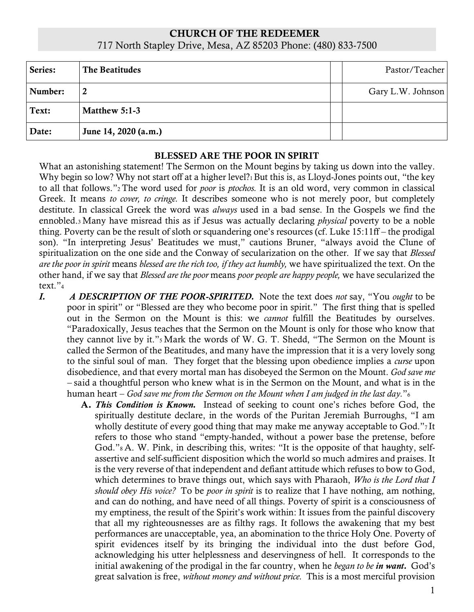## CHURCH OF THE REDEEMER 717 North Stapley Drive, Mesa, AZ 85203 Phone: (480) 833-7500

| Series: | The Beatitudes       | Pastor/Teacher    |
|---------|----------------------|-------------------|
| Number: | 2                    | Gary L.W. Johnson |
| Text:   | Matthew 5:1-3        |                   |
| Date:   | June 14, 2020 (a.m.) |                   |

## BLESSED ARE THE POOR IN SPIRIT

What an astonishing statement! The Sermon on the Mount begins by taking us down into the valley. Why begin so low? Why not start off at a higher level?<sub>1</sub> But this is, as Lloyd-Jones points out, "the key to all that follows."<sup>2</sup> The word used for *poor* is *ptochos.* It is an old word, very common in classical Greek. It means *to cover, to cringe.* It describes someone who is not merely poor, but completely destitute. In classical Greek the word was *always* used in a bad sense. In the Gospels we find the ennobled.<sup>3</sup> Many have misread this as if Jesus was actually declaring *physical* poverty to be a noble thing. Poverty can be the result of sloth or squandering one's resources (cf. Luke 15:11ff – the prodigal son). "In interpreting Jesus' Beatitudes we must," cautions Bruner, "always avoid the Clune of spiritualization on the one side and the Conway of secularization on the other. If we say that *Blessed are the poor in spirit* means *blessed are the rich too, if they act humbly,* we have spiritualized the text. On the other hand, if we say that *Blessed are the poor* means *poor people are happy people,* we have secularized the text."<sup>4</sup>

- *I. A DESCRIPTION OF THE POOR-SPIRITED.* Note the text does *not* say, "You *ought* to be poor in spirit" or "Blessed are they who become poor in spirit." The first thing that is spelled out in the Sermon on the Mount is this: we *cannot* fulfill the Beatitudes by ourselves. "Paradoxically, Jesus teaches that the Sermon on the Mount is only for those who know that they cannot live by it."<sup>5</sup> Mark the words of W. G. T. Shedd, "The Sermon on the Mount is called the Sermon of the Beatitudes, and many have the impression that it is a very lovely song to the sinful soul of man. They forget that the blessing upon obedience implies a *curse* upon disobedience, and that every mortal man has disobeyed the Sermon on the Mount. *God save me –* said a thoughtful person who knew what is in the Sermon on the Mount, and what is in the human heart – *God save me from the Sermon on the Mount when I am judged in the last day.*"<sup>6</sup>
	- A. *This Condition is Known.* Instead of seeking to count one's riches before God, the spiritually destitute declare, in the words of the Puritan Jeremiah Burroughs, "I am wholly destitute of every good thing that may make me anyway acceptable to God."<sup>7</sup> It refers to those who stand "empty-handed, without a power base the pretense, before God."<sup>8</sup> A. W. Pink, in describing this, writes: "It is the opposite of that haughty, selfassertive and self-sufficient disposition which the world so much admires and praises. It is the very reverse of that independent and defiant attitude which refuses to bow to God, which determines to brave things out, which says with Pharaoh, *Who is the Lord that I should obey His voice?* To be *poor in spirit* is to realize that I have nothing, am nothing, and can do nothing, and have need of all things. Poverty of spirit is a consciousness of my emptiness, the result of the Spirit's work within: It issues from the painful discovery that all my righteousnesses are as filthy rags. It follows the awakening that my best performances are unacceptable, yea, an abomination to the thrice Holy One. Poverty of spirit evidences itself by its bringing the individual into the dust before God, acknowledging his utter helplessness and deservingness of hell. It corresponds to the initial awakening of the prodigal in the far country, when he *began to be in want.* God's great salvation is free, *without money and without price.* This is a most merciful provision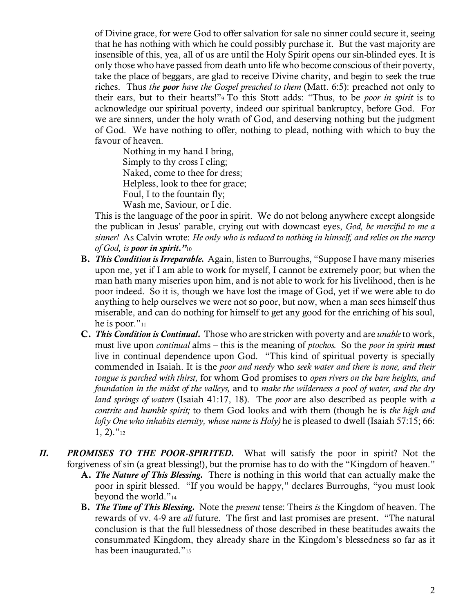of Divine grace, for were God to offer salvation for sale no sinner could secure it, seeing that he has nothing with which he could possibly purchase it. But the vast majority are insensible of this, yea, all of us are until the Holy Spirit opens our sin-blinded eyes. It is only those who have passed from death unto life who become conscious of their poverty, take the place of beggars, are glad to receive Divine charity, and begin to seek the true riches. Thus *the poor have the Gospel preached to them* (Matt. 6:5): preached not only to their ears, but to their hearts!"<sup>9</sup> To this Stott adds: "Thus, to be *poor in spirit* is to acknowledge our spiritual poverty, indeed our spiritual bankruptcy, before God. For we are sinners, under the holy wrath of God, and deserving nothing but the judgment of God. We have nothing to offer, nothing to plead, nothing with which to buy the favour of heaven.

Nothing in my hand I bring, Simply to thy cross I cling; Naked, come to thee for dress; Helpless, look to thee for grace; Foul, I to the fountain fly; Wash me, Saviour, or I die.

This is the language of the poor in spirit. We do not belong anywhere except alongside the publican in Jesus' parable, crying out with downcast eyes, *God, be merciful to me a sinner!* As Calvin wrote: *He only who is reduced to nothing in himself, and relies on the mercy of God, is poor in spirit."*<sup>10</sup>

- B. *This Condition is Irreparable.* Again, listen to Burroughs, "Suppose I have many miseries upon me, yet if I am able to work for myself, I cannot be extremely poor; but when the man hath many miseries upon him, and is not able to work for his livelihood, then is he poor indeed. So it is, though we have lost the image of God, yet if we were able to do anything to help ourselves we were not so poor, but now, when a man sees himself thus miserable, and can do nothing for himself to get any good for the enriching of his soul, he is poor."<sup>11</sup>
- C. *This Condition is Continual.* Those who are stricken with poverty and are *unable* to work, must live upon *continual* alms – this is the meaning of *ptochos.* So the *poor in spirit must* live in continual dependence upon God. "This kind of spiritual poverty is specially commended in Isaiah. It is the *poor and needy* who *seek water and there is none, and their tongue is parched with thirst,* for whom God promises to *open rivers on the bare heights, and foundation in the midst of the valleys,* and to *make the wilderness a pool of water, and the dry land springs of waters* (Isaiah 41:17, 18). The *poor* are also described as people with *a contrite and humble spirit;* to them God looks and with them (though he is *the high and lofty One who inhabits eternity, whose name is Holy)* he is pleased to dwell (Isaiah 57:15; 66:  $1, 2$ )."<sup>12</sup>
- *II. PROMISES TO THE POOR-SPIRITED.* What will satisfy the poor in spirit? Not the forgiveness of sin (a great blessing!), but the promise has to do with the "Kingdom of heaven."
	- A. *The Nature of This Blessing.* There is nothing in this world that can actually make the poor in spirit blessed. "If you would be happy," declares Burroughs, "you must look beyond the world."<sup>14</sup>
	- B. *The Time of This Blessing.* Note the *present* tense: Theirs *is* the Kingdom of heaven. The rewards of vv. 4-9 are *all* future. The first and last promises are present. "The natural conclusion is that the full blessedness of those described in these beatitudes awaits the consummated Kingdom, they already share in the Kingdom's blessedness so far as it has been inaugurated."<sup>15</sup>